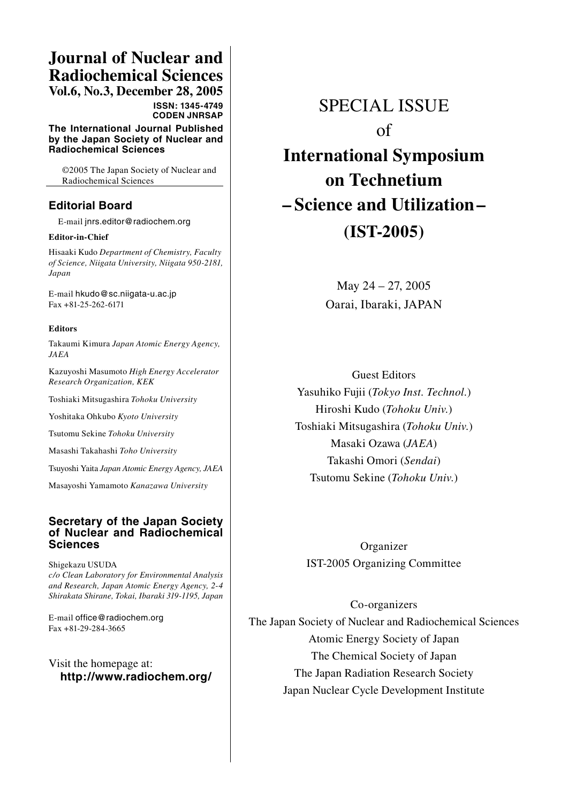# **Journal of Nuclear and Radiochemical Sciences**

**Vol.6, No.3, December 28, 2005 ISSN: 1345-4749 CODEN JNRSAP** 

**The International Journal Published by the Japan Society of Nuclear and Radiochemical Sciences**

 ©2005 The Japan Society of Nuclear and Radiochemical Sciences

### **Editorial Board**

E-mail jnrs.editor@radiochem.org

#### **Editor-in-Chief**

Hisaaki Kudo *Department of Chemistry, Faculty of Science, Niigata University, Niigata 950-2181, Japan*

E-mail hkudo@sc.niigata-u.ac.jp Fax +81-25-262-6171

#### **Editors**

Takaumi Kimura *Japan Atomic Energy Agency, JAEA*

Kazuyoshi Masumoto *High Energy Accelerator Research Organization, KEK*

Toshiaki Mitsugashira *Tohoku University*

Yoshitaka Ohkubo *Kyoto University*

Tsutomu Sekine *Tohoku University*

Masashi Takahashi *Toho University*

Tsuyoshi Yaita *Japan Atomic Energy Agency, JAEA*

Masayoshi Yamamoto *Kanazawa University*

#### **Secretary of the Japan Society of Nuclear and Radiochemical Sciences**

Shigekazu USUDA *c/o Clean Laboratory for Environmental Analysis and Research, Japan Atomic Energy Agency, 2-4 Shirakata Shirane, Tokai, Ibaraki 319-1195, Japan*

E-mail office@radiochem.org Fax +81-29-284-3665

Visit the homepage at: **http://www.radiochem.org/**

## SPECIAL ISSUE

of

**International Symposium on Technetium – Science and Utilization– (IST-2005)**

> May 24 – 27, 2005 Oarai, Ibaraki, JAPAN

Guest Editors Yasuhiko Fujii (*Tokyo Inst. Technol.*) Hiroshi Kudo (*Tohoku Univ.*) Toshiaki Mitsugashira (*Tohoku Univ.*) Masaki Ozawa (*JAEA*) Takashi Omori (*Sendai*) Tsutomu Sekine (*Tohoku Univ.*)

Organizer IST-2005 Organizing Committee

#### Co-organizers

The Japan Society of Nuclear and Radiochemical Sciences Atomic Energy Society of Japan The Chemical Society of Japan The Japan Radiation Research Society Japan Nuclear Cycle Development Institute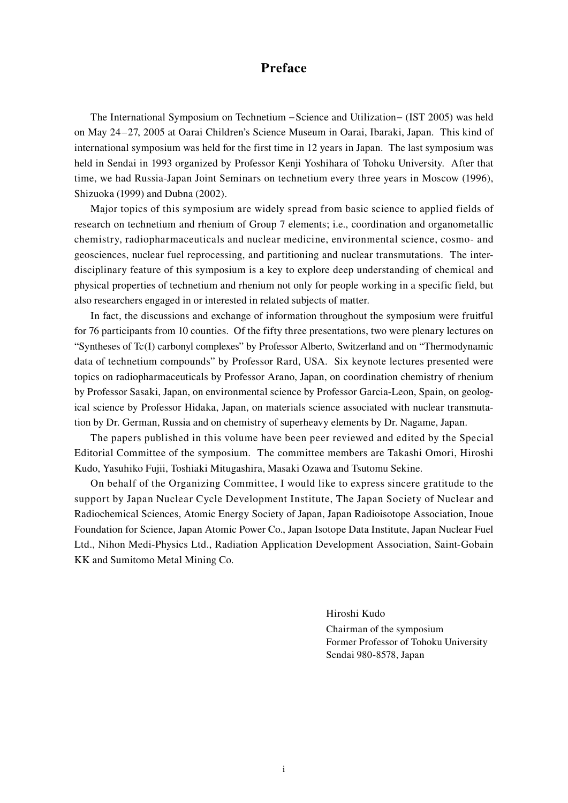## **Preface**

The International Symposium on Technetium −Science and Utilization− (IST 2005) was held on May 24–27, 2005 at Oarai Children's Science Museum in Oarai, Ibaraki, Japan. This kind of international symposium was held for the first time in 12 years in Japan. The last symposium was held in Sendai in 1993 organized by Professor Kenji Yoshihara of Tohoku University. After that time, we had Russia-Japan Joint Seminars on technetium every three years in Moscow (1996), Shizuoka (1999) and Dubna (2002).

Major topics of this symposium are widely spread from basic science to applied fields of research on technetium and rhenium of Group 7 elements; i.e., coordination and organometallic chemistry, radiopharmaceuticals and nuclear medicine, environmental science, cosmo- and geosciences, nuclear fuel reprocessing, and partitioning and nuclear transmutations. The interdisciplinary feature of this symposium is a key to explore deep understanding of chemical and physical properties of technetium and rhenium not only for people working in a specific field, but also researchers engaged in or interested in related subjects of matter.

In fact, the discussions and exchange of information throughout the symposium were fruitful for 76 participants from 10 counties. Of the fifty three presentations, two were plenary lectures on "Syntheses of Tc(I) carbonyl complexes" by Professor Alberto, Switzerland and on "Thermodynamic data of technetium compounds" by Professor Rard, USA. Six keynote lectures presented were topics on radiopharmaceuticals by Professor Arano, Japan, on coordination chemistry of rhenium by Professor Sasaki, Japan, on environmental science by Professor Garcia-Leon, Spain, on geological science by Professor Hidaka, Japan, on materials science associated with nuclear transmutation by Dr. German, Russia and on chemistry of superheavy elements by Dr. Nagame, Japan.

The papers published in this volume have been peer reviewed and edited by the Special Editorial Committee of the symposium. The committee members are Takashi Omori, Hiroshi Kudo, Yasuhiko Fujii, Toshiaki Mitugashira, Masaki Ozawa and Tsutomu Sekine.

On behalf of the Organizing Committee, I would like to express sincere gratitude to the support by Japan Nuclear Cycle Development Institute, The Japan Society of Nuclear and Radiochemical Sciences, Atomic Energy Society of Japan, Japan Radioisotope Association, Inoue Foundation for Science, Japan Atomic Power Co., Japan Isotope Data Institute, Japan Nuclear Fuel Ltd., Nihon Medi-Physics Ltd., Radiation Application Development Association, Saint-Gobain KK and Sumitomo Metal Mining Co.

Hiroshi Kudo

Chairman of the symposium Former Professor of Tohoku University Sendai 980-8578, Japan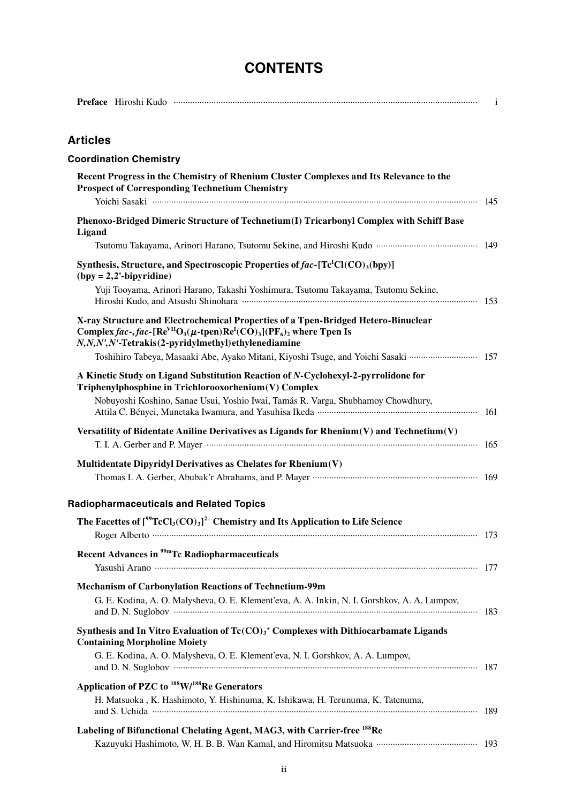## **CONTENTS**

| <b>Articles</b>                                                                                                                                                                                                                                                                               |  |
|-----------------------------------------------------------------------------------------------------------------------------------------------------------------------------------------------------------------------------------------------------------------------------------------------|--|
| <b>Coordination Chemistry</b>                                                                                                                                                                                                                                                                 |  |
| Recent Progress in the Chemistry of Rhenium Cluster Complexes and Its Relevance to the<br><b>Prospect of Corresponding Technetium Chemistry</b>                                                                                                                                               |  |
| Phenoxo-Bridged Dimeric Structure of Technetium(I) Tricarbonyl Complex with Schiff Base<br>Ligand                                                                                                                                                                                             |  |
|                                                                                                                                                                                                                                                                                               |  |
| Synthesis, Structure, and Spectroscopic Properties of fac-[Tc <sup>I</sup> Cl(CO) <sub>3</sub> (bpy)]<br>$(by = 2,2'-bipyridine)$                                                                                                                                                             |  |
| Yuji Tooyama, Arinori Harano, Takashi Yoshimura, Tsutomu Takayama, Tsutomu Sekine,                                                                                                                                                                                                            |  |
| X-ray Structure and Electrochemical Properties of a Tpen-Bridged Hetero-Binuclear<br>Complex fac-, fac-[Re <sup>VII</sup> O <sub>3</sub> ( $\mu$ -tpen)Re <sup>I</sup> (CO) <sub>3</sub> ](PF <sub>6</sub> ) <sub>2</sub> where Tpen Is<br>N,N,N',N'-Tetrakis(2-pyridylmethyl)ethylenediamine |  |
| Toshihiro Tabeya, Masaaki Abe, Ayako Mitani, Kiyoshi Tsuge, and Yoichi Sasaki  157                                                                                                                                                                                                            |  |
| A Kinetic Study on Ligand Substitution Reaction of N-Cyclohexyl-2-pyrrolidone for<br>Triphenylphosphine in Trichlorooxorhenium(V) Complex                                                                                                                                                     |  |
| Nobuyoshi Koshino, Sanae Usui, Yoshio Iwai, Tamás R. Varga, Shubhamoy Chowdhury,                                                                                                                                                                                                              |  |
| Versatility of Bidentate Aniline Derivatives as Ligands for $R$ henium(V) and Technetium(V)                                                                                                                                                                                                   |  |
| Multidentate Dipyridyl Derivatives as Chelates for Rhenium(V)                                                                                                                                                                                                                                 |  |
| <b>Radiopharmaceuticals and Related Topics</b>                                                                                                                                                                                                                                                |  |
| The Facettes of $[^{99}TcCl_{3}(CO)_{3}]^{2}$ Chemistry and Its Application to Life Science                                                                                                                                                                                                   |  |
| Recent Advances in <sup>99m</sup> Tc Radiopharmaceuticals                                                                                                                                                                                                                                     |  |
|                                                                                                                                                                                                                                                                                               |  |
| <b>Mechanism of Carbonylation Reactions of Technetium-99m</b><br>G. E. Kodina, A. O. Malysheva, O. E. Klement'eva, A. A. Inkin, N. I. Gorshkov, A. A. Lumpov,                                                                                                                                 |  |
| Synthesis and In Vitro Evaluation of $Tc(CO)3$ <sup>+</sup> Complexes with Dithiocarbamate Ligands                                                                                                                                                                                            |  |
| <b>Containing Morpholine Moiety</b><br>G. E. Kodina, A. O. Malysheva, O. E. Klement'eva, N. I. Gorshkov, A. A. Lumpov,                                                                                                                                                                        |  |
| Application of PZC to <sup>188</sup> W/ <sup>188</sup> Re Generators                                                                                                                                                                                                                          |  |
| H. Matsuoka, K. Hashimoto, Y. Hishinuma, K. Ishikawa, H. Terunuma, K. Tatenuma,                                                                                                                                                                                                               |  |
| Labeling of Bifunctional Chelating Agent, MAG3, with Carrier-free 188Re                                                                                                                                                                                                                       |  |
|                                                                                                                                                                                                                                                                                               |  |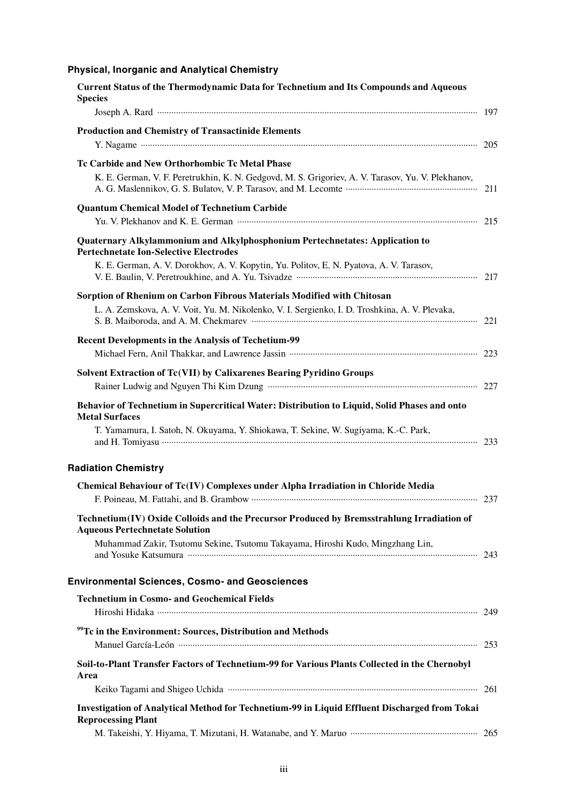### **Physical, Inorganic and Analytical Chemistry**

| <b>Current Status of the Thermodynamic Data for Technetium and Its Compounds and Aqueous</b><br><b>Species</b>                                                                                                                                                                                                           |  |
|--------------------------------------------------------------------------------------------------------------------------------------------------------------------------------------------------------------------------------------------------------------------------------------------------------------------------|--|
|                                                                                                                                                                                                                                                                                                                          |  |
| <b>Production and Chemistry of Transactinide Elements</b>                                                                                                                                                                                                                                                                |  |
| Tc Carbide and New Orthorhombic Tc Metal Phase<br>K. E. German, V. F. Peretrukhin, K. N. Gedgovd, M. S. Grigoriev, A. V. Tarasov, Yu. V. Plekhanov,                                                                                                                                                                      |  |
| <b>Quantum Chemical Model of Technetium Carbide</b>                                                                                                                                                                                                                                                                      |  |
| Quaternary Alkylammonium and Alkylphosphonium Pertechnetates: Application to<br><b>Pertechnetate Ion-Selective Electrodes</b><br>K. E. German, A. V. Dorokhov, A. V. Kopytin, Yu. Politov, E. N. Pyatova, A. V. Tarasov,<br>V. E. Baulin, V. Peretroukhine, and A. Yu. Tsivadze manufactured and announcement of the 217 |  |
| Sorption of Rhenium on Carbon Fibrous Materials Modified with Chitosan<br>L. A. Zemskova, A. V. Voit, Yu. M. Nikolenko, V. I. Sergienko, I. D. Troshkina, A. V. Plevaka,                                                                                                                                                 |  |
| <b>Recent Developments in the Analysis of Techetium-99</b>                                                                                                                                                                                                                                                               |  |
| Solvent Extraction of Tc(VII) by Calixarenes Bearing Pyridino Groups                                                                                                                                                                                                                                                     |  |
| Behavior of Technetium in Supercritical Water: Distribution to Liquid, Solid Phases and onto<br><b>Metal Surfaces</b><br>T. Yamamura, I. Satoh, N. Okuyama, Y. Shiokawa, T. Sekine, W. Sugiyama, K.-C. Park,                                                                                                             |  |
| <b>Radiation Chemistry</b>                                                                                                                                                                                                                                                                                               |  |
| Chemical Behaviour of Tc(IV) Complexes under Alpha Irradiation in Chloride Media                                                                                                                                                                                                                                         |  |
| Technetium(IV) Oxide Colloids and the Precursor Produced by Bremsstrahlung Irradiation of<br><b>Aqueous Pertechnetate Solution</b>                                                                                                                                                                                       |  |
| Muhammad Zakir, Tsutomu Sekine, Tsutomu Takayama, Hiroshi Kudo, Mingzhang Lin,                                                                                                                                                                                                                                           |  |
| <b>Environmental Sciences, Cosmo- and Geosciences</b>                                                                                                                                                                                                                                                                    |  |
| <b>Technetium in Cosmo- and Geochemical Fields</b>                                                                                                                                                                                                                                                                       |  |
| <sup>99</sup> Tc in the Environment: Sources, Distribution and Methods                                                                                                                                                                                                                                                   |  |
| Soil-to-Plant Transfer Factors of Technetium-99 for Various Plants Collected in the Chernobyl<br>Area                                                                                                                                                                                                                    |  |
| Investigation of Analytical Method for Technetium-99 in Liquid Effluent Discharged from Tokai<br><b>Reprocessing Plant</b>                                                                                                                                                                                               |  |
|                                                                                                                                                                                                                                                                                                                          |  |